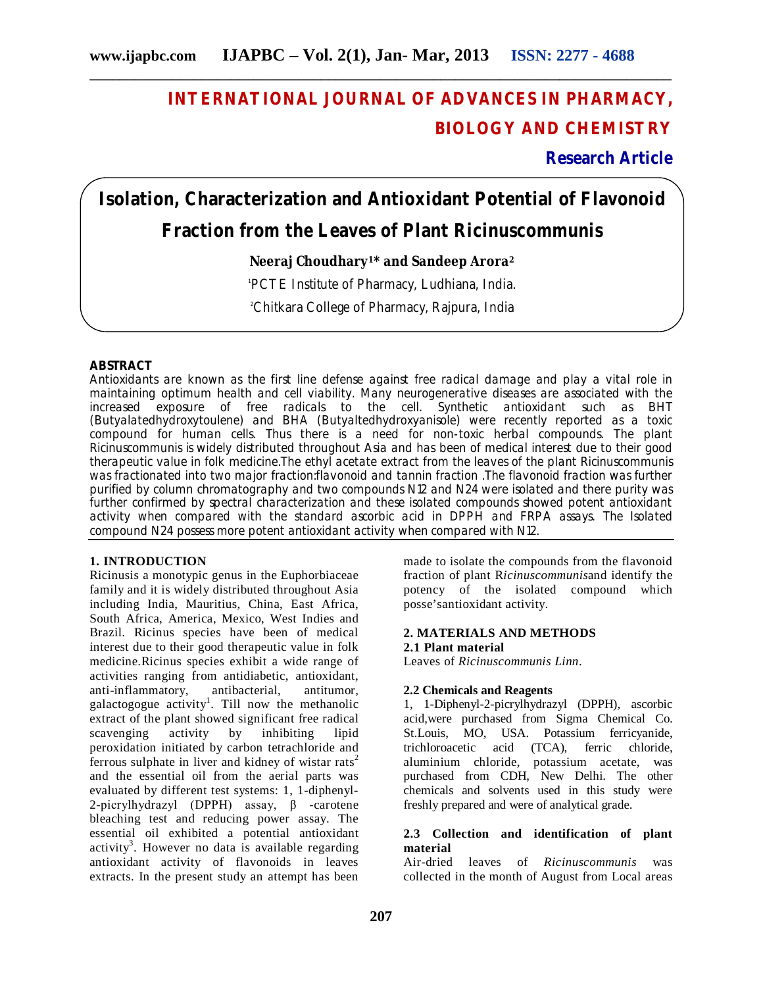# **INTERNATIONAL JOURNAL OF ADVANCES IN PHARMACY, BIOLOGY AND CHEMISTRY**

**Research Article**

# **Isolation, Characterization and Antioxidant Potential of Flavonoid Fraction from the Leaves of Plant** *Ricinuscommunis*

# **Neeraj Choudhary1\* and Sandeep Arora<sup>2</sup>**

1 PCTE Institute of Pharmacy, Ludhiana, India.

<sup>2</sup>Chitkara College of Pharmacy, Rajpura, India

# **ABSTRACT**

Antioxidants are known as the first line defense against free radical damage and play a vital role in maintaining optimum health and cell viability. Many neurogenerative diseases are associated with the increased exposure of free radicals to the cell. Synthetic antioxidant such as BHT (Butyalatedhydroxytoulene) and BHA (Butyaltedhydroxyanisole) were recently reported as a toxic compound for human cells. Thus there is a need for non-toxic herbal compounds. The plant Ricinuscommunis is widely distributed throughout Asia and has been of medical interest due to their good therapeutic value in folk medicine.The ethyl acetate extract from the leaves of the plant Ricinuscommunis was fractionated into two major fraction:flavonoid and tannin fraction .The flavonoid fraction was further purified by column chromatography and two compounds N12 and N24 were isolated and there purity was further confirmed by spectral characterization and these isolated compounds showed potent antioxidant activity when compared with the standard ascorbic acid in DPPH and FRPA assays. The Isolated compound N24 possess more potent antioxidant activity when compared with N12.

# **1. INTRODUCTION**

Ricinusis a monotypic genus in the Euphorbiaceae family and it is widely distributed throughout Asia including India, Mauritius, China, East Africa, South Africa, America, Mexico, West Indies and Brazil. Ricinus species have been of medical interest due to their good therapeutic value in folk medicine.Ricinus species exhibit a wide range of activities ranging from antidiabetic, antioxidant, anti-inflammatory, antibacterial, antitumor, galactogogue activity<sup>1</sup>. Till now the methanolic extract of the plant showed significant free radical<br>scavenging activity by inhibiting lipid scavenging activity by inhibiting lipid peroxidation initiated by carbon tetrachloride and ferrous sulphate in liver and kidney of wistar rats<sup>2</sup> and the essential oil from the aerial parts was evaluated by different test systems: 1, 1-diphenyl-2-picrylhydrazyl (DPPH) assay, β -carotene bleaching test and reducing power assay. The essential oil exhibited a potential antioxidant activity<sup>3</sup>. However no data is available regarding antioxidant activity of flavonoids in leaves extracts. In the present study an attempt has been

made to isolate the compounds from the flavonoid fraction of plant R*icinuscommunis*and identify the potency of the isolated compound which posse'santioxidant activity.

# **2. MATERIALS AND METHODS 2.1 Plant material**

Leaves of *Ricinuscommunis Linn*.

# **2.2 Chemicals and Reagents**

1, 1-Diphenyl-2-picrylhydrazyl (DPPH), ascorbic acid,were purchased from Sigma Chemical Co. St.Louis, MO, USA. Potassium ferricyanide, trichloroacetic acid (TCA), ferric chloride, aluminium chloride, potassium acetate, was purchased from CDH, New Delhi. The other chemicals and solvents used in this study were freshly prepared and were of analytical grade.

# **2.3 Collection and identification of plant material**

Air-dried leaves of *Ricinuscommunis* was collected in the month of August from Local areas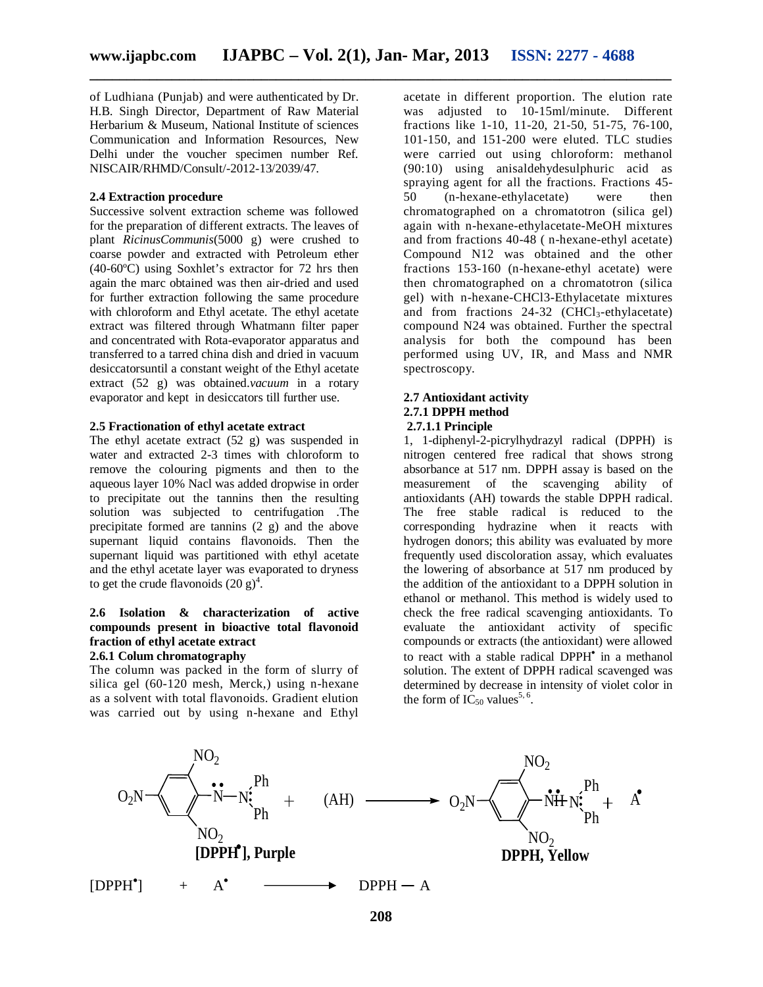of Ludhiana (Punjab) and were authenticated by Dr. H.B. Singh Director, Department of Raw Material Herbarium & Museum, National Institute of sciences Communication and Information Resources, New Delhi under the voucher specimen number Ref. NISCAIR/RHMD/Consult/-2012-13/2039/47.

#### **2.4 Extraction procedure**

Successive solvent extraction scheme was followed for the preparation of different extracts. The leaves of plant *RicinusCommunis*(5000 g) were crushed to coarse powder and extracted with Petroleum ether (40-60ºC) using Soxhlet's extractor for 72 hrs then again the marc obtained was then air-dried and used for further extraction following the same procedure with chloroform and Ethyl acetate. The ethyl acetate extract was filtered through Whatmann filter paper and concentrated with Rota-evaporator apparatus and transferred to a tarred china dish and dried in vacuum desiccatorsuntil a constant weight of the Ethyl acetate extract (52 g) was obtained.*vacuum* in a rotary evaporator and kept in desiccators till further use.

#### **2.5 Fractionation of ethyl acetate extract**

The ethyl acetate extract (52 g) was suspended in water and extracted 2-3 times with chloroform to remove the colouring pigments and then to the aqueous layer 10% Nacl was added dropwise in order to precipitate out the tannins then the resulting solution was subjected to centrifugation .The precipitate formed are tannins (2 g) and the above supernant liquid contains flavonoids. Then the supernant liquid was partitioned with ethyl acetate and the ethyl acetate layer was evaporated to dryness to get the crude flavonoids  $(20 g)^4$ .

# **2.6 Isolation & characterization of active compounds present in bioactive total flavonoid fraction of ethyl acetate extract**

# **2.6.1 Colum chromatography**

The column was packed in the form of slurry of silica gel (60-120 mesh, Merck,) using n-hexane as a solvent with total flavonoids. Gradient elution was carried out by using n-hexane and Ethyl acetate in different proportion. The elution rate was adjusted to 10-15ml/minute. Different fractions like 1-10, 11-20, 21-50, 51-75, 76-100, 101-150, and 151-200 were eluted. TLC studies were carried out using chloroform: methanol (90:10) using anisaldehydesulphuric acid as spraying agent for all the fractions. Fractions 45- 50 (n-hexane-ethylacetate) were then chromatographed on a chromatotron (silica gel) again with n-hexane-ethylacetate-MeOH mixtures and from fractions 40-48 ( n-hexane-ethyl acetate) Compound N12 was obtained and the other fractions 153-160 (n-hexane-ethyl acetate) were then chromatographed on a chromatotron (silica gel) with n-hexane-CHCl3-Ethylacetate mixtures and from fractions  $24-32$  (CHCl<sub>3</sub>-ethylacetate) compound N24 was obtained. Further the spectral analysis for both the compound has been performed using UV, IR, and Mass and NMR spectroscopy.

#### **2.7 Antioxidant activity 2.7.1 DPPH method 2.7.1.1 Principle**

1, 1-diphenyl-2-picrylhydrazyl radical (DPPH) is nitrogen centered free radical that shows strong absorbance at 517 nm. DPPH assay is based on the measurement of the scavenging ability of antioxidants (AH) towards the stable DPPH radical. The free stable radical is reduced to the corresponding hydrazine when it reacts with hydrogen donors; this ability was evaluated by more frequently used discoloration assay, which evaluates the lowering of absorbance at 517 nm produced by the addition of the antioxidant to a DPPH solution in ethanol or methanol. This method is widely used to check the free radical scavenging antioxidants. To evaluate the antioxidant activity of specific compounds or extracts (the antioxidant) were allowed to react with a stable radical DPPH<sup>•</sup> in a methanol solution. The extent of DPPH radical scavenged was determined by decrease in intensity of violet color in the form of  $IC_{50}$  values<sup>5, 6</sup>.

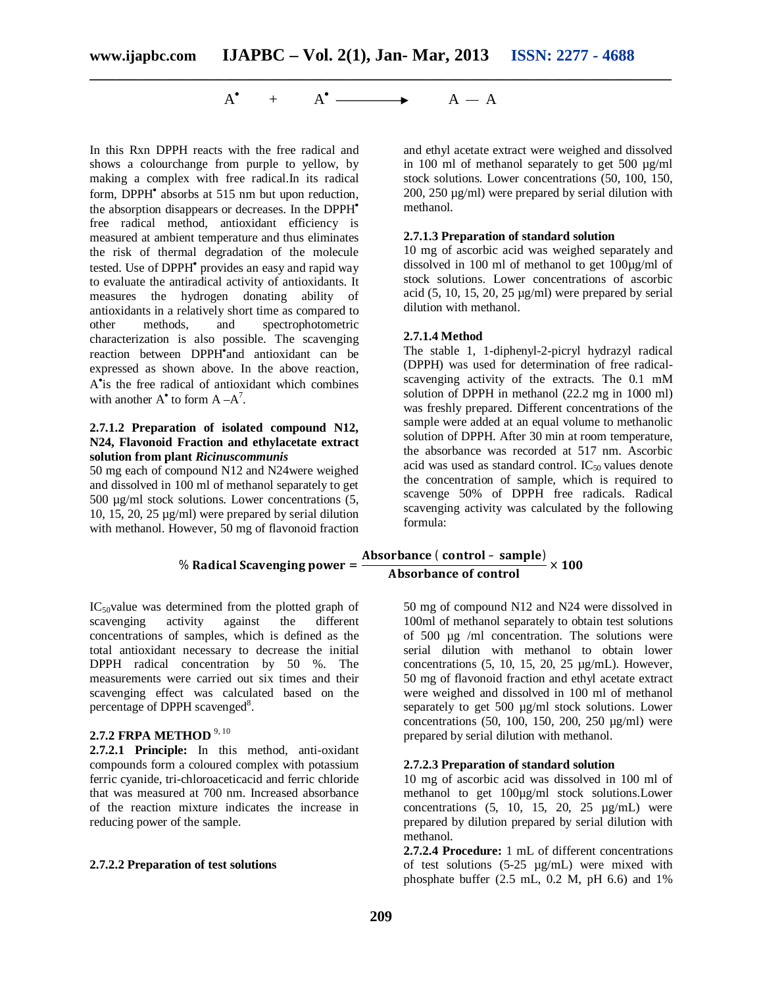#### $A^{\bullet}$  $+$  A<sup> $\bullet$ </sup>  $\longrightarrow$  A  $-$  A

In this Rxn DPPH reacts with the free radical and shows a colourchange from purple to yellow, by making a complex with free radical.In its radical form, DPPH absorbs at 515 nm but upon reduction, the absorption disappears or decreases. In the DPPH free radical method, antioxidant efficiency is measured at ambient temperature and thus eliminates the risk of thermal degradation of the molecule tested. Use of DPPH<sup>•</sup> provides an easy and rapid way to evaluate the antiradical activity of antioxidants. It measures the hydrogen donating ability of antioxidants in a relatively short time as compared to other methods, and spectrophotometric characterization is also possible. The scavenging reaction between DPPH<sup>\*</sup>and antioxidant can be expressed as shown above. In the above reaction, A is the free radical of antioxidant which combines with another  $A^{\bullet}$  to form  $A - A^{7}$ .

#### **2.7.1.2 Preparation of isolated compound N12, N24, Flavonoid Fraction and ethylacetate extract solution from plant** *Ricinuscommunis*

50 mg each of compound N12 and N24were weighed and dissolved in 100 ml of methanol separately to get 500 µg/ml stock solutions. Lower concentrations (5, 10, 15, 20, 25 µg/ml) were prepared by serial dilution with methanol. However, 50 mg of flavonoid fraction

IC50value was determined from the plotted graph of scavenging activity against the different concentrations of samples, which is defined as the total antioxidant necessary to decrease the initial DPPH radical concentration by 50 %. The measurements were carried out six times and their scavenging effect was calculated based on the percentage of DPPH scavenged<sup>8</sup>.

# **2.7.2 FRPA METHOD** 9, 10

**2.7.2.1 Principle:** In this method, anti-oxidant compounds form a coloured complex with potassium ferric cyanide, tri-chloroaceticacid and ferric chloride that was measured at 700 nm. Increased absorbance of the reaction mixture indicates the increase in reducing power of the sample.

#### **2.7.2.2 Preparation of test solutions**

and ethyl acetate extract were weighed and dissolved in 100 ml of methanol separately to get 500 µg/ml stock solutions. Lower concentrations (50, 100, 150, 200, 250 µg/ml) were prepared by serial dilution with methanol.

#### **2.7.1.3 Preparation of standard solution**

10 mg of ascorbic acid was weighed separately and dissolved in 100 ml of methanol to get 100µg/ml of stock solutions. Lower concentrations of ascorbic acid  $(5, 10, 15, 20, 25 \mu g/ml)$  were prepared by serial dilution with methanol.

### **2.7.1.4 Method**

The stable 1, 1-diphenyl-2-picryl hydrazyl radical (DPPH) was used for determination of free radicalscavenging activity of the extracts. The 0.1 mM solution of DPPH in methanol (22.2 mg in 1000 ml) was freshly prepared. Different concentrations of the sample were added at an equal volume to methanolic solution of DPPH. After 30 min at room temperature, the absorbance was recorded at 517 nm. Ascorbic acid was used as standard control.  $IC_{50}$  values denote the concentration of sample, which is required to scavenge 50% of DPPH free radicals. Radical scavenging activity was calculated by the following formula:

# % Radical Scavenging power = Absorbance ( control – sample)<br>Absorbance of control  $\times$  100

50 mg of compound N12 and N24 were dissolved in 100ml of methanol separately to obtain test solutions of 500 µg /ml concentration. The solutions were serial dilution with methanol to obtain lower concentrations  $(5, 10, 15, 20, 25 \mu g/mL)$ . However, 50 mg of flavonoid fraction and ethyl acetate extract were weighed and dissolved in 100 ml of methanol separately to get 500 µg/ml stock solutions. Lower concentrations (50, 100, 150, 200, 250 µg/ml) were prepared by serial dilution with methanol.

#### **2.7.2.3 Preparation of standard solution**

10 mg of ascorbic acid was dissolved in 100 ml of methanol to get 100µg/ml stock solutions.Lower concentrations  $(5, 10, 15, 20, 25 \mu g/mL)$  were prepared by dilution prepared by serial dilution with methanol.

**2.7.2.4 Procedure:** 1 mL of different concentrations of test solutions  $(5-25 \mu g/mL)$  were mixed with phosphate buffer (2.5 mL, 0.2 M, pH 6.6) and 1%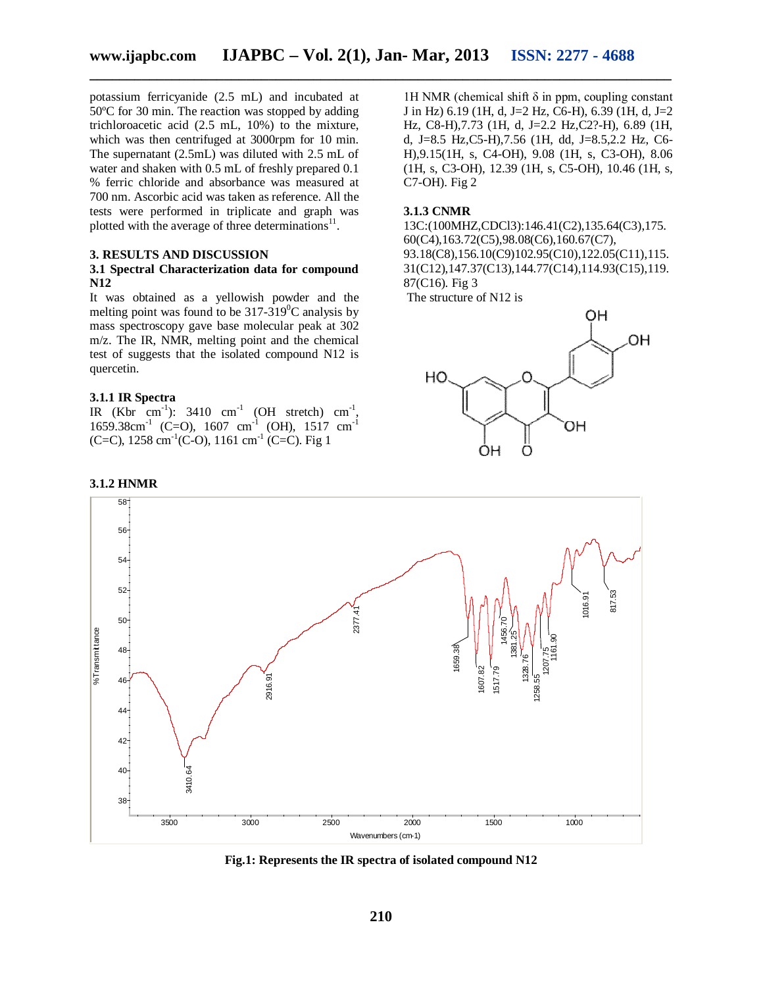potassium ferricyanide (2.5 mL) and incubated at 50ºC for 30 min. The reaction was stopped by adding trichloroacetic acid (2.5 mL, 10%) to the mixture, which was then centrifuged at 3000rpm for 10 min. The supernatant (2.5mL) was diluted with 2.5 mL of water and shaken with 0.5 mL of freshly prepared 0.1 % ferric chloride and absorbance was measured at 700 nm. Ascorbic acid was taken as reference. All the tests were performed in triplicate and graph was plotted with the average of three determinations $^{11}$ .

#### **3. RESULTS AND DISCUSSION**

#### **3.1 Spectral Characterization data for compound N12**

It was obtained as a yellowish powder and the melting point was found to be  $317-319^{\circ}$ C analysis by mass spectroscopy gave base molecular peak at 302 m/z. The IR, NMR, melting point and the chemical test of suggests that the isolated compound N12 is quercetin.

# **3.1.1 IR Spectra**

IR (Kbr cm<sup>-1</sup>): 3410 cm<sup>-1</sup> (OH stretch) cm<sup>-1</sup>,  $1659.38 \text{cm}^{-1}$  (C=O),  $1607 \text{cm}^{-1}$  (OH),  $1517 \text{cm}^{-1}$ (C=C),  $1258 \text{ cm}^{-1}$ (C-O),  $1161 \text{ cm}^{-1}$  (C=C). Fig 1

1H NMR (chemical shift δ in ppm, coupling constant J in Hz) 6.19 (1H, d, J=2 Hz, C6-H), 6.39 (1H, d, J=2 Hz, C8-H),7.73 (1H, d, J=2.2 Hz,C2?-H), 6.89 (1H, d, J=8.5 Hz,C5-H),7.56 (1H, dd, J=8.5,2.2 Hz, C6- H),9.15(1H, s, C4-OH), 9.08 (1H, s, C3-OH), 8.06 (1H, s, C3-OH), 12.39 (1H, s, C5-OH), 10.46 (1H, s, C7-OH). Fig 2

#### **3.1.3 CNMR**

13C:(100MHZ,CDCl3):146.41(C2),135.64(C3),175. 60(C4),163.72(C5),98.08(C6),160.67(C7), 93.18(C8),156.10(C9)102.95(C10),122.05(C11),115. 31(C12),147.37(C13),144.77(C14),114.93(C15),119. 87(C16). Fig 3

The structure of N12 is





**Fig.1: Represents the IR spectra of isolated compound N12**

#### **3.1.2 HNMR**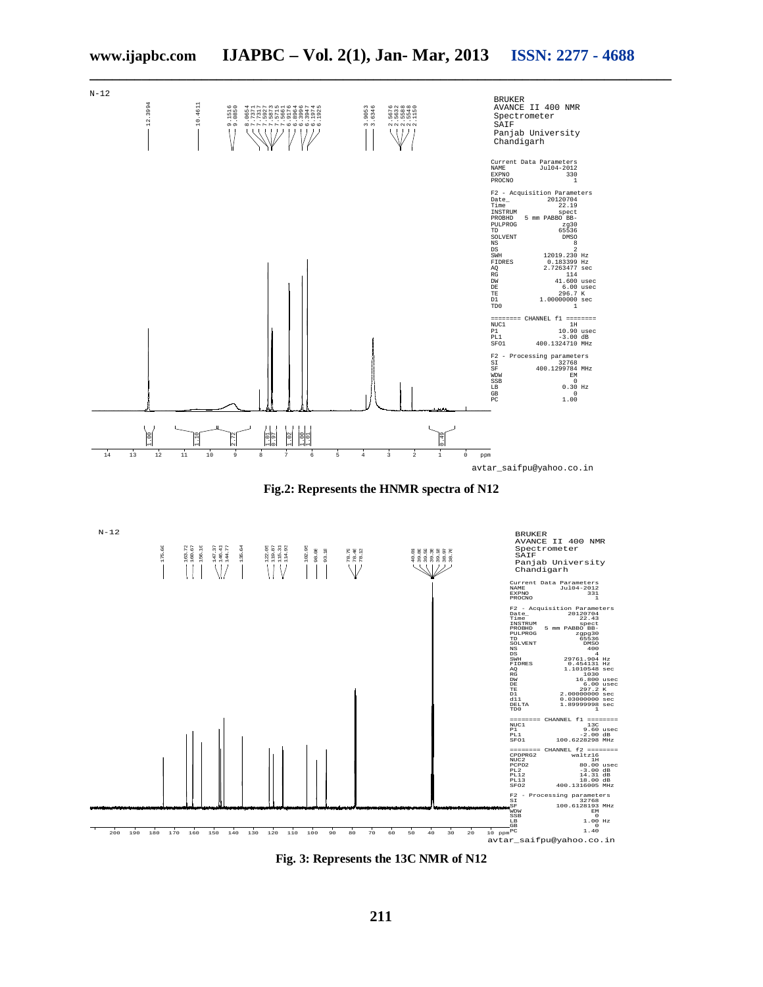

**Fig. 3: Represents the 13C NMR of N12**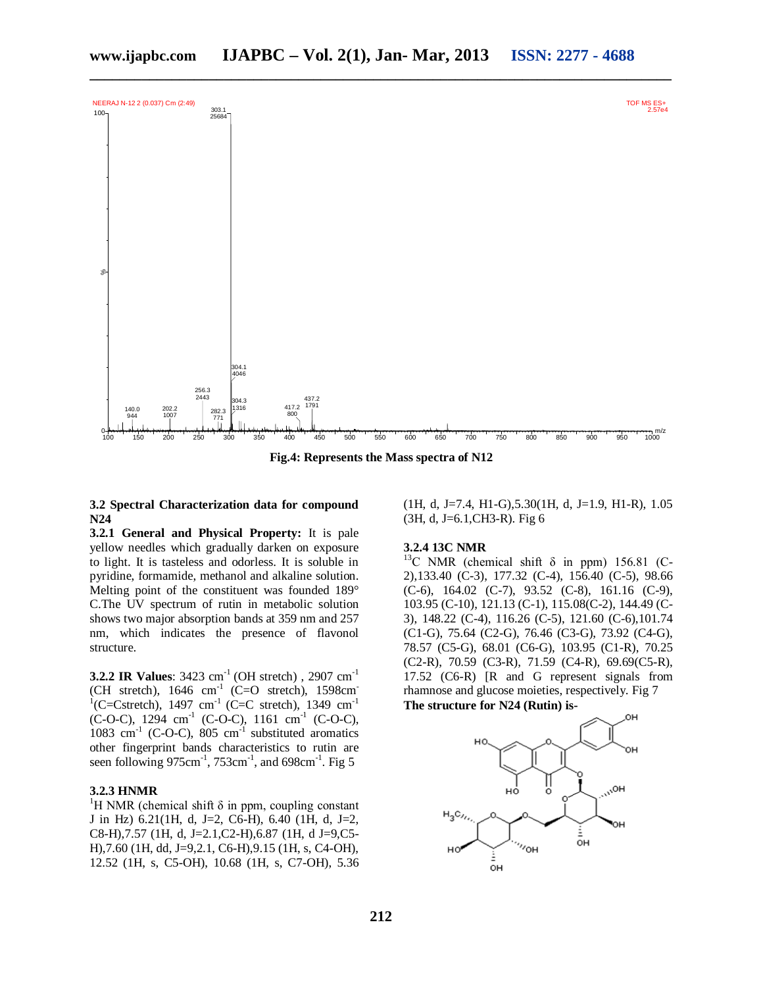

**Fig.4: Represents the Mass spectra of N12**

### **3.2 Spectral Characterization data for compound N24**

**3.2.1 General and Physical Property:** It is pale yellow needles which gradually darken on exposure to light. It is tasteless and odorless. It is soluble in pyridine, formamide, methanol and alkaline solution. Melting point of the constituent was founded 189° C.The UV spectrum of rutin in metabolic solution shows two major absorption bands at 359 nm and 257 nm, which indicates the presence of flavonol structure.

**3.2.2 IR Values:** 3423 cm<sup>-1</sup> (OH stretch), 2907 cm<sup>-1</sup> (CH stretch), 1646 cm<sup>-1</sup> (C=O stretch), 1598cm<sup>-1</sup><br><sup>1</sup>(C=Cstretch), 1497 cm<sup>-1</sup> (C=C stretch), 1349 cm<sup>-1</sup>  $(C-O-C)$ , 1294 cm<sup>-1</sup>  $(C-O-C)$ , 1161 cm<sup>-1</sup>  $(C-O-C)$ , 1083 cm<sup>-1</sup> (C-O-C), 805 cm<sup>-1</sup> substituted aromatics other fingerprint bands characteristics to rutin are seen following  $975 \text{cm}^{-1}$ ,  $753 \text{cm}^{-1}$ , and  $698 \text{cm}^{-1}$ . Fig 5

#### **3.2.3 HNMR**

<sup>1</sup>H NMR (chemical shift  $\delta$  in ppm, coupling constant J in Hz) 6.21(1H, d, J=2, C6-H), 6.40 (1H, d, J=2, C8-H),7.57 (1H, d, J=2.1,C2-H),6.87 (1H, d J=9,C5- H),7.60 (1H, dd, J=9,2.1, C6-H),9.15 (1H, s, C4-OH), 12.52 (1H, s, C5-OH), 10.68 (1H, s, C7-OH), 5.36  $(1H, d, J=7.4, H1-G), 5.30(1H, d, J=1.9, H1-R), 1.05$ (3H, d, J=6.1,CH3-R). Fig 6

#### **3.2.4 13C NMR**

<sup>13</sup>C NMR (chemical shift  $\delta$  in ppm) 156.81 (C-2),133.40 (C-3), 177.32 (C-4), 156.40 (C-5), 98.66 (C-6), 164.02 (C-7), 93.52 (C-8), 161.16 (C-9), 103.95 (C-10), 121.13 (C-1), 115.08(C-2), 144.49 (C-3), 148.22 (C-4), 116.26 (C-5), 121.60 (C-6),101.74 (C1-G), 75.64 (C2-G), 76.46 (C3-G), 73.92 (C4-G), 78.57 (C5-G), 68.01 (C6-G), 103.95 (C1-R), 70.25 (C2-R), 70.59 (C3-R), 71.59 (C4-R), 69.69(C5-R), 17.52 (C6-R) [R and G represent signals from rhamnose and glucose moieties, respectively. Fig 7 **The structure for N24 (Rutin) is-**

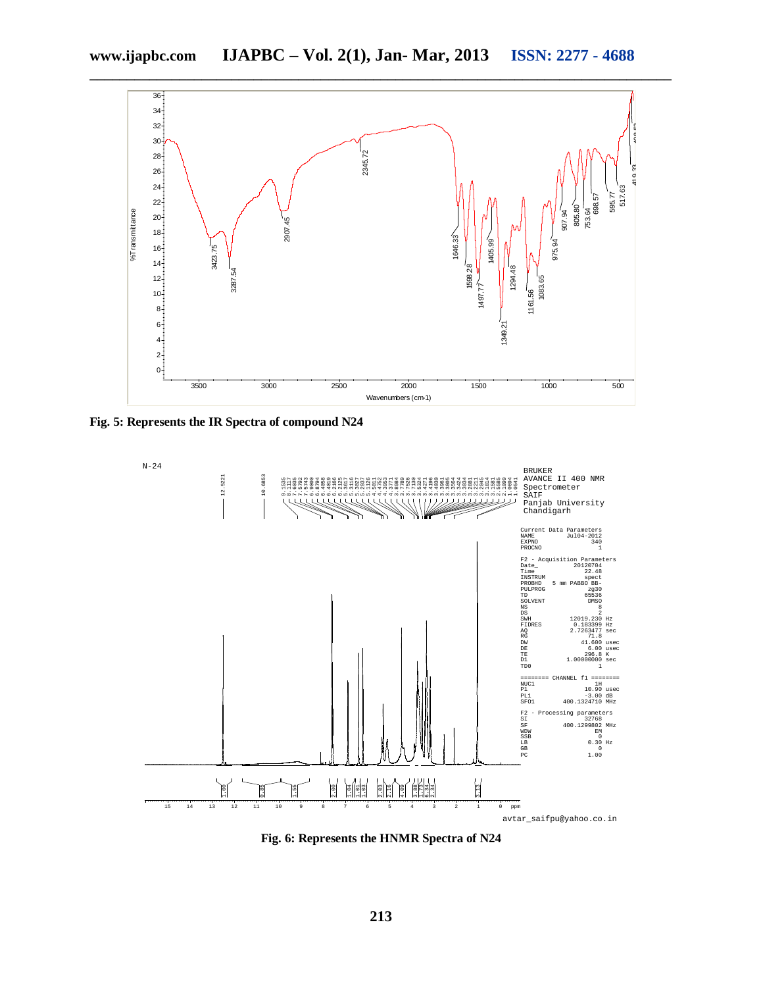

**Fig. 5: Represents the IR Spectra of compound N24** 



**Fig. 6: Represents the HNMR Spectra of N24**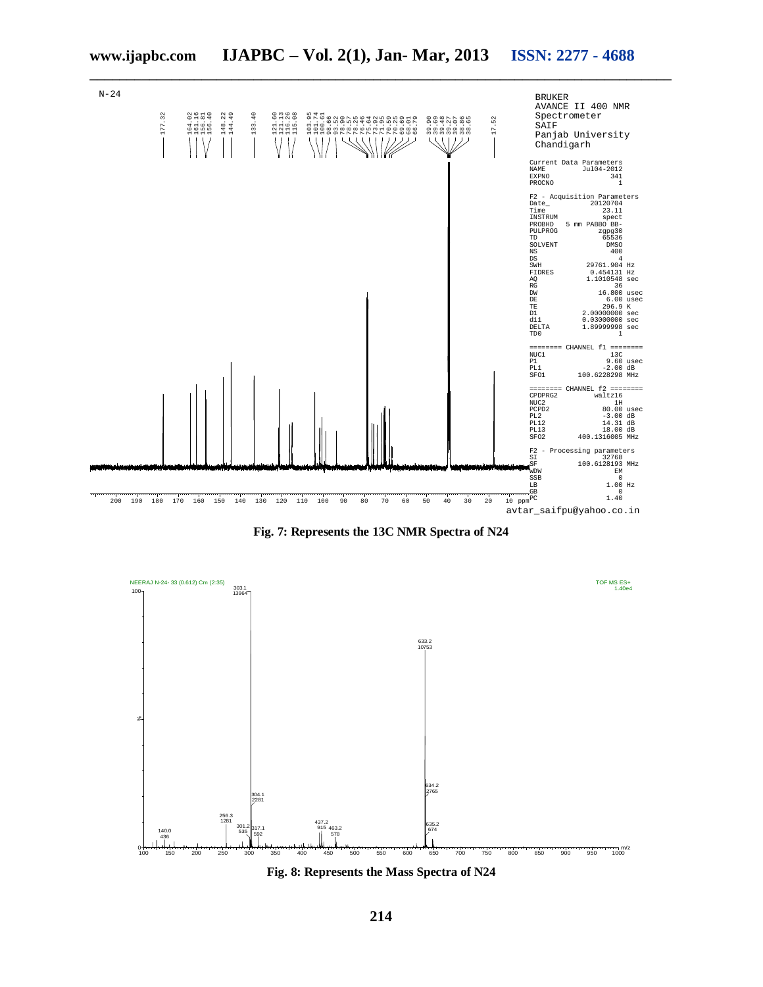





**Fig. 8: Represents the Mass Spectra of N24**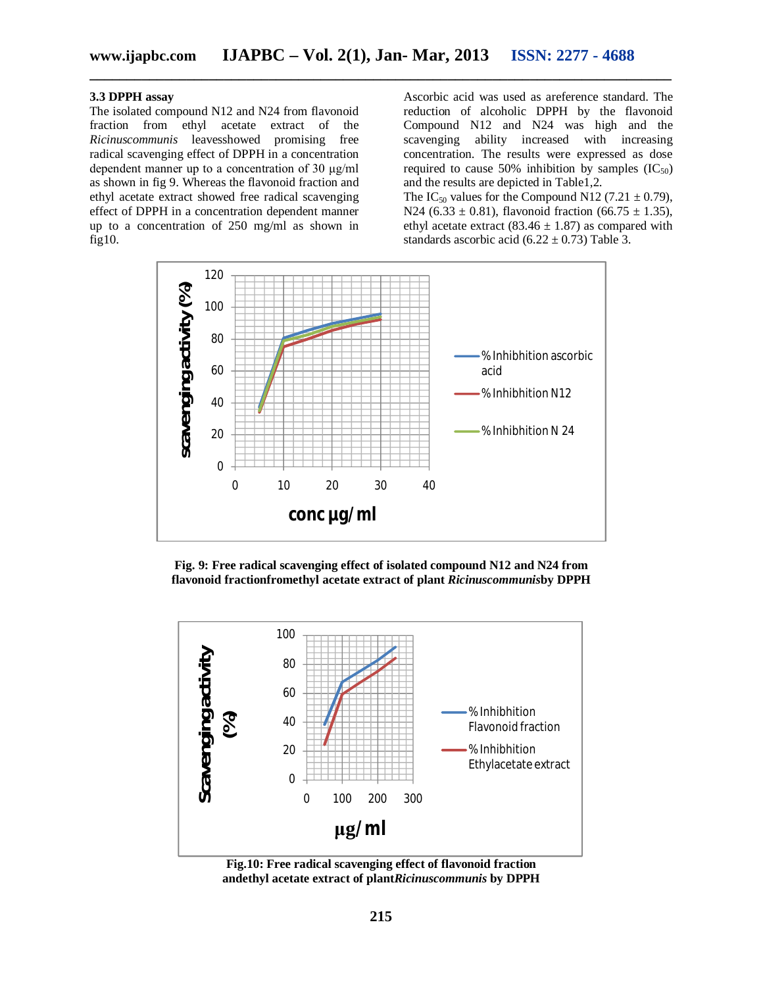#### **3.3 DPPH assay**

The isolated compound N12 and N24 from flavonoid fraction from ethyl acetate extract of the *Ricinuscommunis* leavesshowed promising free radical scavenging effect of DPPH in a concentration dependent manner up to a concentration of 30 μg/ml as shown in fig 9. Whereas the flavonoid fraction and ethyl acetate extract showed free radical scavenging effect of DPPH in a concentration dependent manner up to a concentration of 250 mg/ml as shown in fig10.

Ascorbic acid was used as areference standard. The reduction of alcoholic DPPH by the flavonoid Compound N12 and N24 was high and the scavenging ability increased with increasing concentration. The results were expressed as dose required to cause 50% inhibition by samples  $(IC_{50})$ and the results are depicted in Table1,2. The IC<sub>50</sub> values for the Compound N12 (7.21  $\pm$  0.79), N24 (6.33  $\pm$  0.81), flavonoid fraction (66.75  $\pm$  1.35), ethyl acetate extract (83.46  $\pm$  1.87) as compared with standards ascorbic acid  $(6.22 \pm 0.73)$  Table 3.



**Fig. 9: Free radical scavenging effect of isolated compound N12 and N24 from flavonoid fractionfromethyl acetate extract of plant** *Ricinuscommunis***by DPPH**



**Fig.10: Free radical scavenging effect of flavonoid fraction andethyl acetate extract of plant***Ricinuscommunis* **by DPPH**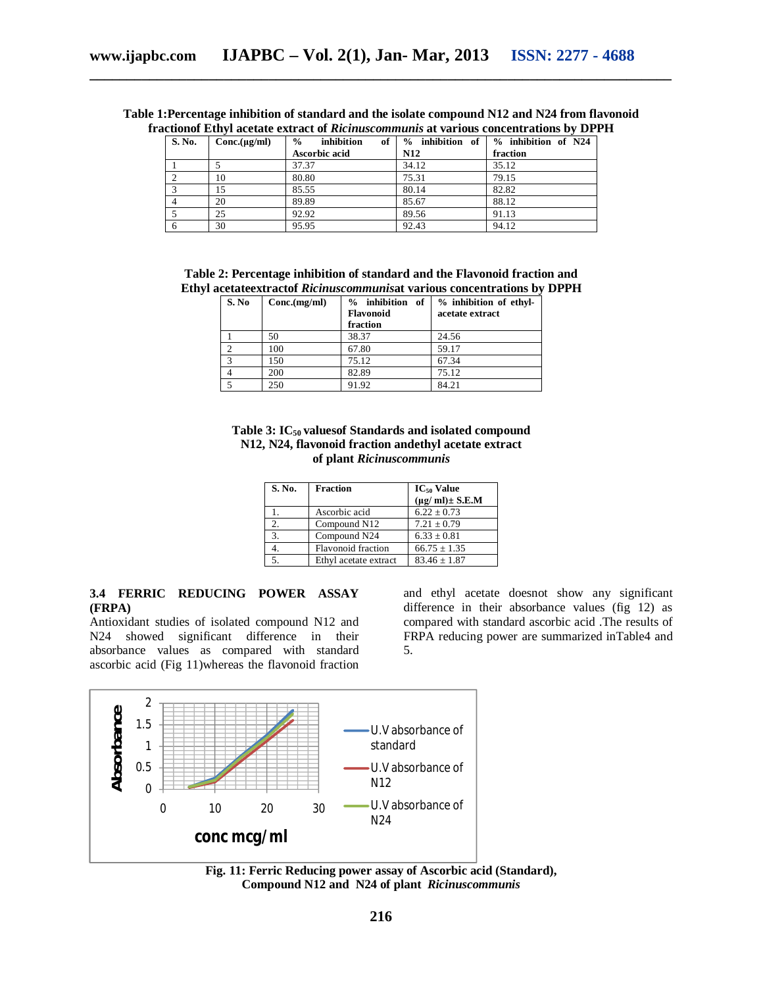| S. No. | Conc.(µg/ml) | inhibition<br>of<br>$\frac{0}{0}$ | $%$ inhibition of $\vert$ | % inhibition of N24 |
|--------|--------------|-----------------------------------|---------------------------|---------------------|
|        |              | Ascorbic acid                     | <b>N12</b>                | fraction            |
|        |              | 37.37                             | 34.12                     | 35.12               |
| ◠      | 10           | 80.80                             | 75.31                     | 79.15               |
|        | 15           | 85.55                             | 80.14                     | 82.82               |
|        | 20           | 89.89                             | 85.67                     | 88.12               |
|        | 25           | 92.92                             | 89.56                     | 91.13               |
| 6      | 30           | 95.95                             | 92.43                     | 94.12               |

**Table 1:Percentage inhibition of standard and the isolate compound N12 and N24 from flavonoid fractionof Ethyl acetate extract of** *Ricinuscommunis* **at various concentrations by DPPH**

| Table 2: Percentage inhibition of standard and the Flavonoid fraction and |  |
|---------------------------------------------------------------------------|--|
| Ethyl acetateextractof Ricinuscommunisat various concentrations by DPPH   |  |

|                   | S. No | Conc.(mg/ml) | % inhibition of<br><b>Flavonoid</b><br>fraction | % inhibition of ethyl-<br>acetate extract |
|-------------------|-------|--------------|-------------------------------------------------|-------------------------------------------|
|                   |       | 50           | 38.37                                           | 24.56                                     |
|                   |       | 100          | 67.80                                           | 59.17                                     |
| $\mathbf{\Omega}$ |       | 150          | 75.12                                           | 67.34                                     |
|                   |       | 200          | 82.89                                           | 75.12                                     |
|                   |       | 250          | 91.92                                           | 84.21                                     |

**Table 3: IC50 valuesof Standards and isolated compound N12, N24, flavonoid fraction andethyl acetate extract of plant** *Ricinuscommunis*

| S. No. | <b>Fraction</b>           | $IC_{50}$ Value               |
|--------|---------------------------|-------------------------------|
|        |                           | $(\mu g/\text{ml}) \pm$ S.E.M |
|        | Ascorbic acid             | $6.22 \pm 0.73$               |
| 2.     | Compound N12              | $7.21 \pm 0.79$               |
| 3.     | Compound N24              | $6.33 \pm 0.81$               |
| 4.     | <b>Flavonoid</b> fraction | $66.75 \pm 1.35$              |
|        | Ethyl acetate extract     | $83.46 \pm 1.87$              |

#### **3.4 FERRIC REDUCING POWER ASSAY (FRPA)**

Antioxidant studies of isolated compound N12 and N24 showed significant difference in their absorbance values as compared with standard ascorbic acid (Fig 11)whereas the flavonoid fraction

and ethyl acetate doesnot show any significant difference in their absorbance values (fig 12) as compared with standard ascorbic acid .The results of FRPA reducing power are summarized inTable4 and 5.



**Fig. 11: Ferric Reducing power assay of Ascorbic acid (Standard), Compound N12 and N24 of plant** *Ricinuscommunis*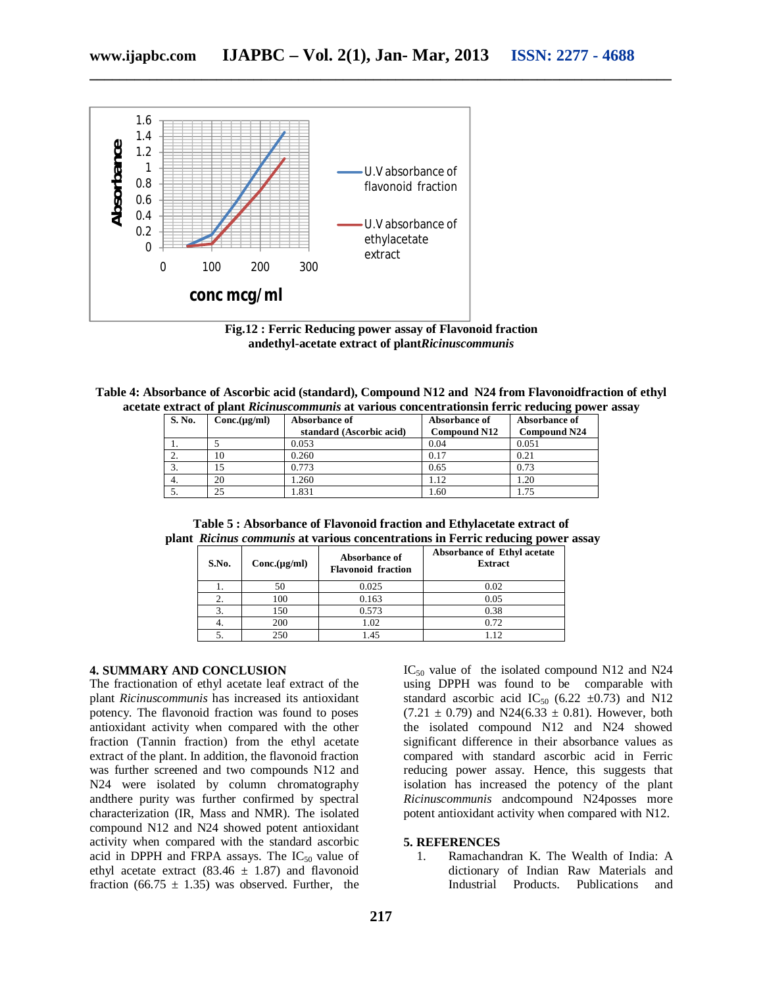

**Fig.12 : Ferric Reducing power assay of Flavonoid fraction andethyl-acetate extract of plant***Ricinuscommunis*

| Table 4: Absorbance of Ascorbic acid (standard), Compound N12 and N24 from Flavonoidfraction of ethyl |  |  |  |
|-------------------------------------------------------------------------------------------------------|--|--|--|
| acetate extract of plant Ricinuscommunis at various concentrations in ferric reducing power assay     |  |  |  |

| S. No. | Conc.(µg/ml) | Absorbance of            | Absorbance of       | Absorbance of       |
|--------|--------------|--------------------------|---------------------|---------------------|
|        |              | standard (Ascorbic acid) | <b>Compound N12</b> | <b>Compound N24</b> |
| .,     |              | 0.053                    | 0.04                | 0.051               |
| ۷.     | 10           | 0.260                    | 0.17                | 0.21                |
| 3.     |              | 0.773                    | 0.65                | 0.73                |
| 4.     | 20           | .260                     | . 12                | l.20                |
| J.     | 25           | .831                     | 1.60                | .75                 |

**Table 5 : Absorbance of Flavonoid fraction and Ethylacetate extract of plant** *Ricinus communis* **at various concentrations in Ferric reducing power assay**

| S.No. | Conc.(µg/ml) | Absorbance of<br><b>Flavonoid fraction</b> | Absorbance of Ethyl acetate<br><b>Extract</b> |
|-------|--------------|--------------------------------------------|-----------------------------------------------|
|       | 50           | 0.025                                      | 0.02                                          |
|       | 100          | 0.163                                      | 0.05                                          |
| 3.    | 150          | 0.573                                      | 0.38                                          |
| 4.    | 200          | 1.02                                       | 0.72                                          |
|       | 250          | l.45                                       | 12                                            |

#### **4. SUMMARY AND CONCLUSION**

The fractionation of ethyl acetate leaf extract of the plant *Ricinuscommunis* has increased its antioxidant potency. The flavonoid fraction was found to poses antioxidant activity when compared with the other fraction (Tannin fraction) from the ethyl acetate extract of the plant. In addition, the flavonoid fraction was further screened and two compounds N12 and N24 were isolated by column chromatography andthere purity was further confirmed by spectral characterization (IR, Mass and NMR). The isolated compound N12 and N24 showed potent antioxidant activity when compared with the standard ascorbic acid in DPPH and FRPA assays. The  $IC_{50}$  value of ethyl acetate extract (83.46  $\pm$  1.87) and flavonoid fraction (66.75  $\pm$  1.35) was observed. Further, the IC<sub>50</sub> value of the isolated compound N12 and N24 using DPPH was found to be comparable with standard ascorbic acid IC<sub>50</sub> (6.22  $\pm$ 0.73) and N12  $(7.21 \pm 0.79)$  and N24(6.33  $\pm$  0.81). However, both the isolated compound N12 and N24 showed significant difference in their absorbance values as compared with standard ascorbic acid in Ferric reducing power assay. Hence, this suggests that isolation has increased the potency of the plant *Ricinuscommunis* andcompound N24posses more potent antioxidant activity when compared with N12.

#### **5. REFERENCES**

1. Ramachandran K. The Wealth of India: A dictionary of Indian Raw Materials and Industrial Products. Publications and